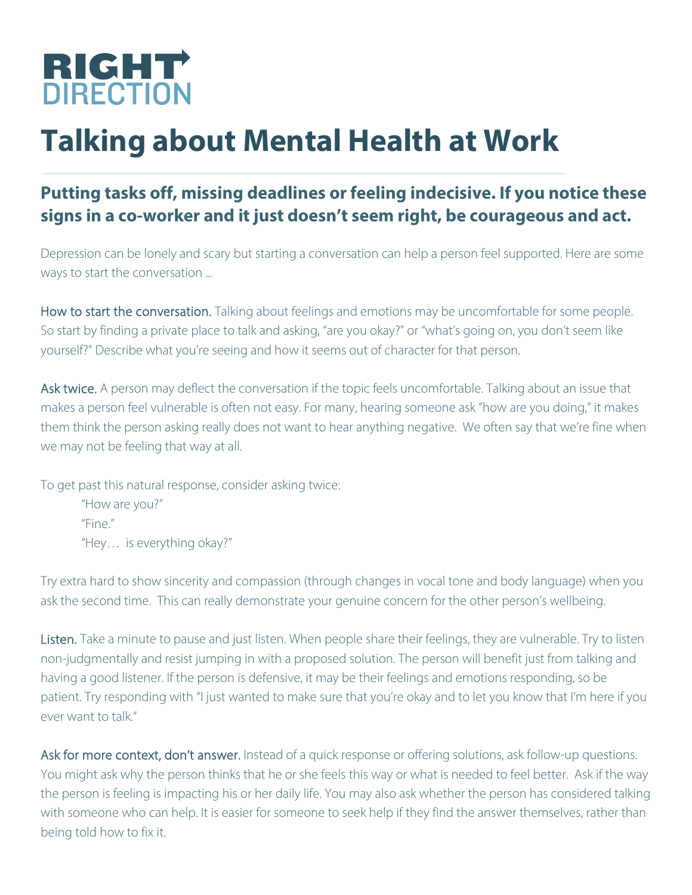

## **Talking about Mental Health at Work**

## **Putting tasks off, missing deadlines or feeling indecisive. If you notice these signs in a co-worker and it just doesn't seem right, be courageous and act.**

Depression can be lonely and scary but starting a conversation can help a person feel supported. Here are some ways to start the conversation ...

How to start the conversation. Talking about feelings and emotions may be uncomfortable for some people. So start by finding a private place to talk and asking, "are you okay?" or "what's going on, you don't seem like yourself?" Describe what you're seeing and how it seems out of character for that person.

Ask twice. A person may deflect the conversation if the topic feels uncomfortable. Talking about an issue that makes a person feel vulnerable is often not easy. For many, hearing someone ask "how are you doing," it makes them think the person asking really does not want to hear anything negative. We often say that we're fine when we may not be feeling that way at all.

To get past this natural response, consider asking twice: "How are you?" "Fine." "Hey… is everything okay?"

Try extra hard to show sincerity and compassion (through changes in vocal tone and body language) when you ask the second time. This can really demonstrate your genuine concern for the other person's wellbeing.

Listen. Take a minute to pause and just listen. When people share their feelings, they are vulnerable. Try to listen non-judgmentally and resist jumping in with a proposed solution. The person will benefit just from talking and having a good listener. If the person is defensive, it may be their feelings and emotions responding, so be patient. Try responding with "I just wanted to make sure that you're okay and to let you know that I'm here if you ever want to talk."

Ask for more context, don't answer. Instead of a quick response or offering solutions, ask follow-up questions. You might ask why the person thinks that he or she feels this way or what is needed to feel better. Ask if the way the person is feeling is impacting his or her daily life. You may also ask whether the person has considered talking with someone who can help. It is easier for someone to seek help if they find the answer themselves, rather than being told how to fix it.